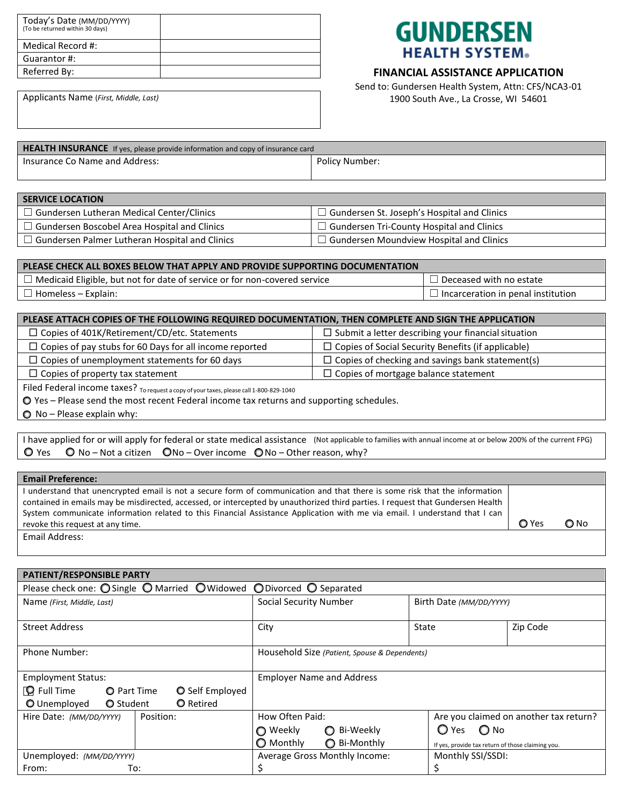| Today's Date (MM/DD/YYYY)<br>(To be returned within 30 days) |  |
|--------------------------------------------------------------|--|
| Medical Record #:                                            |  |
| Guarantor #:                                                 |  |
| Referred By:                                                 |  |

## **GUNDERSEN HEALTH SYSTEM®**

## **FINANCIAL ASSISTANCE APPLICATION**

Send to: Gundersen Health System, Attn: CFS/NCA3-01 1900 South Ave., La Crosse, WI 54601

Applicants Name (*First, Middle, Last)*

| <b>HEALTH INSURANCE</b> If yes, please provide information and copy of insurance card |                |  |  |  |
|---------------------------------------------------------------------------------------|----------------|--|--|--|
| Insurance Co Name and Address:                                                        | Policy Number: |  |  |  |

## **SERVICE LOCATION** ☐ Gundersen Lutheran Medical Center/Clinics ☐ Gundersen St. Joseph's Hospital and Clinics ☐ Gundersen Boscobel Area Hospital and Clinics ☐ Gundersen Tri-County Hospital and Clinics ☐ Gundersen Palmer Lutheran Hospital and Clinics ☐ Gundersen Moundview Hospital and Clinics

| PLEASE CHECK ALL BOXES BELOW THAT APPLY AND PROVIDE SUPPORTING DOCUMENTATION     |                                      |
|----------------------------------------------------------------------------------|--------------------------------------|
| $\Box$ Medicaid Eligible, but not for date of service or for non-covered service | Deceased with no estate              |
| Homeless – Explain:                                                              | I Incarceration in penal institution |

| PLEASE ATTACH COPIES OF THE FOLLOWING REQUIRED DOCUMENTATION, THEN COMPLETE AND SIGN THE APPLICATION |                                                            |  |  |  |
|------------------------------------------------------------------------------------------------------|------------------------------------------------------------|--|--|--|
| $\Box$ Copies of 401K/Retirement/CD/etc. Statements                                                  | $\Box$ Submit a letter describing your financial situation |  |  |  |
| $\Box$ Copies of pay stubs for 60 Days for all income reported                                       | $\Box$ Copies of Social Security Benefits (if applicable)  |  |  |  |
| $\Box$ Copies of unemployment statements for 60 days                                                 | $\Box$ Copies of checking and savings bank statement(s)    |  |  |  |
| $\Box$ Copies of property tax statement                                                              | $\Box$ Copies of mortgage balance statement                |  |  |  |
| Filed Federal income taxes? $_{To \text{ request a copy of your taxes, please call 1-800-829-1040}}$ |                                                            |  |  |  |

Yes – Please send the most recent Federal income tax returns and supporting schedules.

 $\bigcirc$  No – Please explain why:

|                                                                                                             |  | I have applied for or will apply for federal or state medical assistance (Not applicable to families with annual income at or below 200% of the current FPG) |
|-------------------------------------------------------------------------------------------------------------|--|--------------------------------------------------------------------------------------------------------------------------------------------------------------|
| $\bigcirc$ Yes $\bigcirc$ No – Not a citizen $\bigcirc$ No – Over income $\bigcirc$ No – Other reason, why? |  |                                                                                                                                                              |

## **Email Preference:**

I understand that unencrypted email is not a secure form of communication and that there is some risk that the information contained in emails may be misdirected, accessed, or intercepted by unauthorized third parties. I request that Gundersen Health System communicate information related to this Financial Assistance Application with me via email. I understand that I can revoke this request at any time.  $\Box$  Yes  $\Box$  No

Email Address:

| PATIENT/RESPONSIBLE PARTY  |                                                                                                                    |                               |                        |                                  |                                               |                                                   |                                        |          |
|----------------------------|--------------------------------------------------------------------------------------------------------------------|-------------------------------|------------------------|----------------------------------|-----------------------------------------------|---------------------------------------------------|----------------------------------------|----------|
|                            | Please check one: $\bigcirc$ Single $\bigcirc$ Married $\bigcirc$ Widowed $\bigcirc$ Divorced $\bigcirc$ Separated |                               |                        |                                  |                                               |                                                   |                                        |          |
| Name (First, Middle, Last) |                                                                                                                    | <b>Social Security Number</b> |                        |                                  | Birth Date (MM/DD/YYYY)                       |                                                   |                                        |          |
|                            |                                                                                                                    |                               |                        |                                  |                                               |                                                   |                                        |          |
| <b>Street Address</b>      |                                                                                                                    |                               |                        | City                             |                                               | State                                             |                                        | Zip Code |
|                            |                                                                                                                    |                               |                        |                                  |                                               |                                                   |                                        |          |
| Phone Number:              |                                                                                                                    |                               |                        |                                  | Household Size (Patient, Spouse & Dependents) |                                                   |                                        |          |
|                            |                                                                                                                    |                               |                        |                                  |                                               |                                                   |                                        |          |
| <b>Employment Status:</b>  |                                                                                                                    |                               |                        | <b>Employer Name and Address</b> |                                               |                                                   |                                        |          |
| O Full Time                | <b>O</b> Part Time                                                                                                 |                               | <b>O</b> Self Employed |                                  |                                               |                                                   |                                        |          |
| O Unemployed               | <b>O</b> Student                                                                                                   |                               | <b>O</b> Retired       |                                  |                                               |                                                   |                                        |          |
| Hire Date: (MM/DD/YYYY)    |                                                                                                                    | Position:                     |                        | How Often Paid:                  |                                               |                                                   | Are you claimed on another tax return? |          |
|                            |                                                                                                                    |                               |                        | Weekly                           | Bi-Weekly<br>$\circ$                          |                                                   | $\bigcirc$ Yes<br>$\bigcirc$ No        |          |
|                            |                                                                                                                    | <b>O</b> Monthly              | ◯ Bi-Monthly           |                                  |                                               | If yes, provide tax return of those claiming you. |                                        |          |
| Unemployed: (MM/DD/YYYY)   |                                                                                                                    | Average Gross Monthly Income: |                        |                                  | Monthly SSI/SSDI:                             |                                                   |                                        |          |
| To:<br>From:               |                                                                                                                    |                               |                        |                                  |                                               |                                                   |                                        |          |